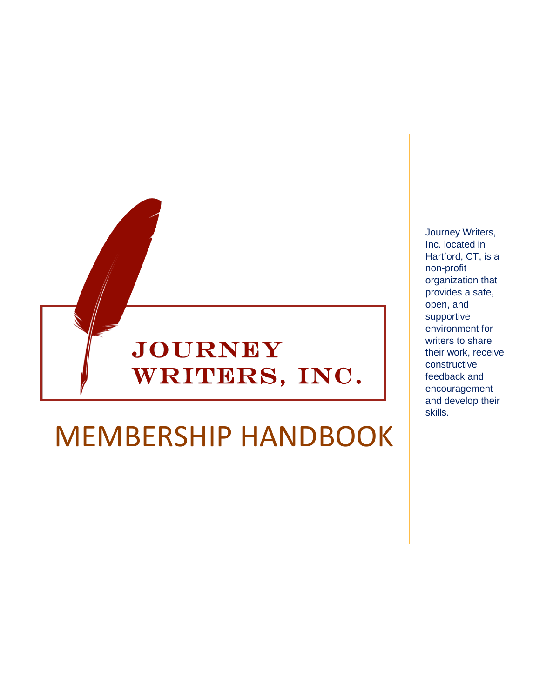

# MEMBERSHIP HANDBOOK

Journey Writers, Inc. located in Hartford, CT, is a non-profit organization that provides a safe, open, and supportive environment for writers to share their work, receive constructive feedback and encouragement and develop their skills.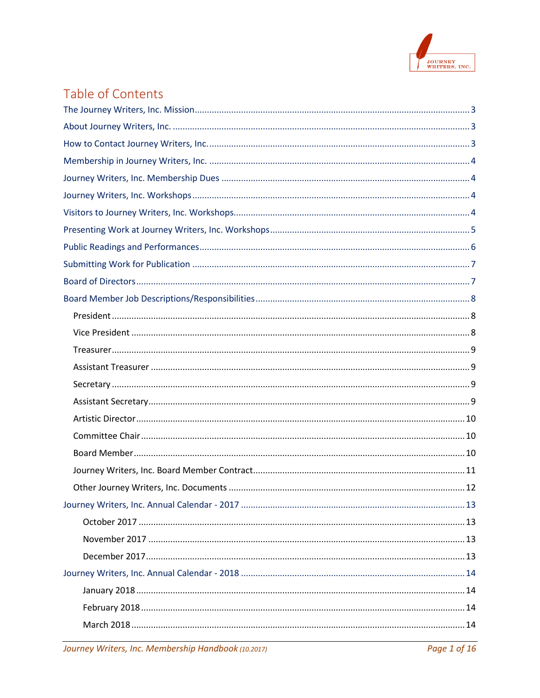

# Table of Contents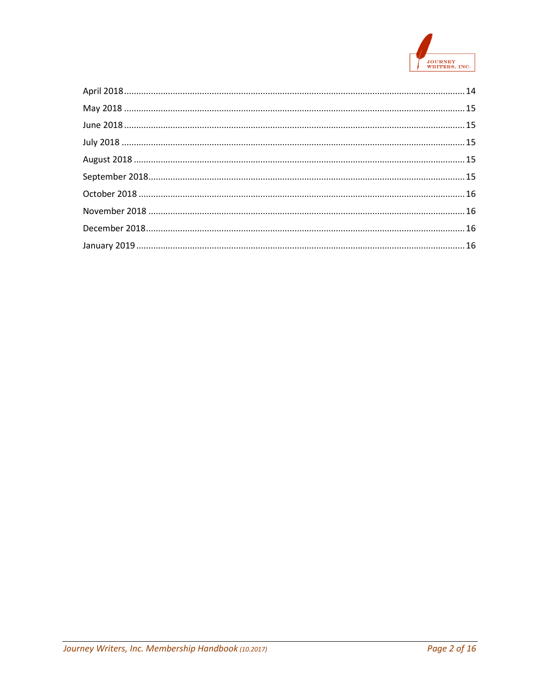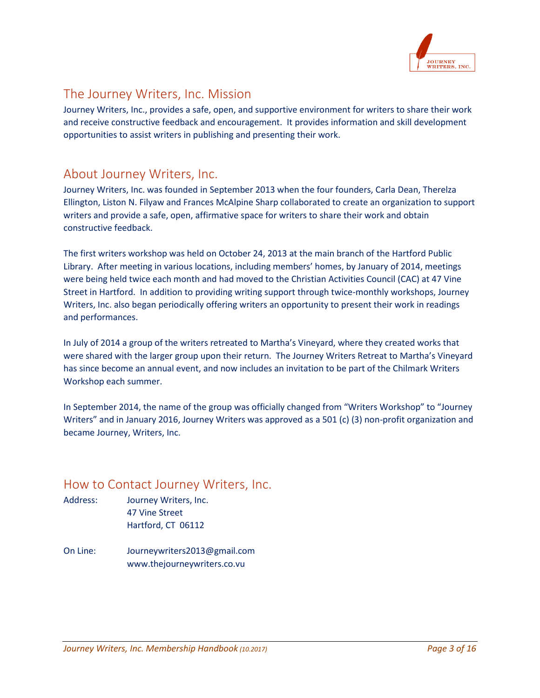

# <span id="page-3-0"></span>The Journey Writers, Inc. Mission

Journey Writers, Inc., provides a safe, open, and supportive environment for writers to share their work and receive constructive feedback and encouragement. It provides information and skill development opportunities to assist writers in publishing and presenting their work.

## <span id="page-3-1"></span>About Journey Writers, Inc.

Journey Writers, Inc. was founded in September 2013 when the four founders, Carla Dean, Therelza Ellington, Liston N. Filyaw and Frances McAlpine Sharp collaborated to create an organization to support writers and provide a safe, open, affirmative space for writers to share their work and obtain constructive feedback.

The first writers workshop was held on October 24, 2013 at the main branch of the Hartford Public Library. After meeting in various locations, including members' homes, by January of 2014, meetings were being held twice each month and had moved to the Christian Activities Council (CAC) at 47 Vine Street in Hartford. In addition to providing writing support through twice-monthly workshops, Journey Writers, Inc. also began periodically offering writers an opportunity to present their work in readings and performances.

In July of 2014 a group of the writers retreated to Martha's Vineyard, where they created works that were shared with the larger group upon their return. The Journey Writers Retreat to Martha's Vineyard has since become an annual event, and now includes an invitation to be part of the Chilmark Writers Workshop each summer.

In September 2014, the name of the group was officially changed from "Writers Workshop" to "Journey Writers" and in January 2016, Journey Writers was approved as a 501 (c) (3) non-profit organization and became Journey, Writers, Inc.

## <span id="page-3-2"></span>How to Contact Journey Writers, Inc.

- Address: Journey Writers, Inc. 47 Vine Street Hartford, CT 06112
- On Line: [Journeywriters2013@gmail.com](mailto:Journeywriters2013@gmail.com) www.thejourneywriters.co.vu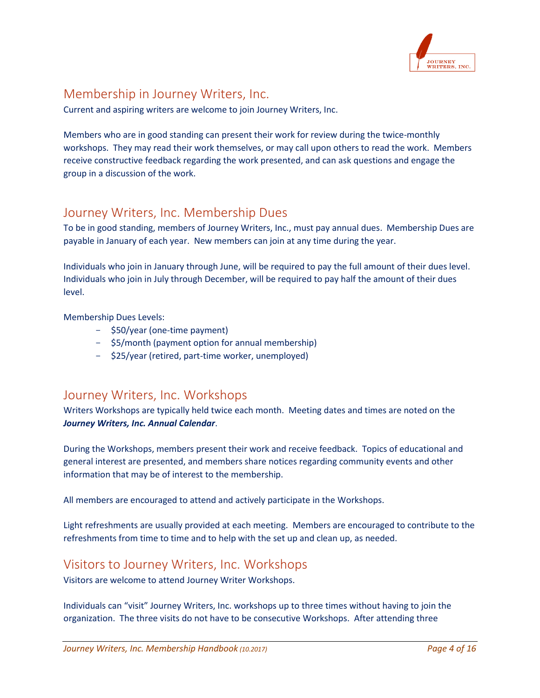

# <span id="page-4-0"></span>Membership in Journey Writers, Inc.

Current and aspiring writers are welcome to join Journey Writers, Inc.

Members who are in good standing can present their work for review during the twice-monthly workshops. They may read their work themselves, or may call upon others to read the work. Members receive constructive feedback regarding the work presented, and can ask questions and engage the group in a discussion of the work.

# <span id="page-4-1"></span>Journey Writers, Inc. Membership Dues

To be in good standing, members of Journey Writers, Inc., must pay annual dues. Membership Dues are payable in January of each year. New members can join at any time during the year.

Individuals who join in January through June, will be required to pay the full amount of their dues level. Individuals who join in July through December, will be required to pay half the amount of their dues level.

Membership Dues Levels:

- \$50/year (one-time payment)
- \$5/month (payment option for annual membership)
- \$25/year (retired, part-time worker, unemployed)

## <span id="page-4-2"></span>Journey Writers, Inc. Workshops

Writers Workshops are typically held twice each month. Meeting dates and times are noted on the *Journey Writers, Inc. Annual Calendar*.

During the Workshops, members present their work and receive feedback. Topics of educational and general interest are presented, and members share notices regarding community events and other information that may be of interest to the membership.

All members are encouraged to attend and actively participate in the Workshops.

Light refreshments are usually provided at each meeting. Members are encouraged to contribute to the refreshments from time to time and to help with the set up and clean up, as needed.

## <span id="page-4-3"></span>Visitors to Journey Writers, Inc. Workshops

Visitors are welcome to attend Journey Writer Workshops.

Individuals can "visit" Journey Writers, Inc. workshops up to three times without having to join the organization. The three visits do not have to be consecutive Workshops. After attending three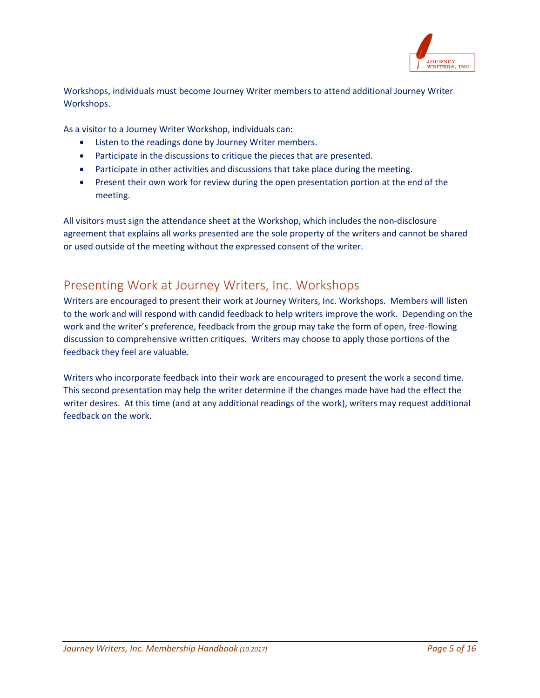

Workshops, individuals must become Journey Writer members to attend additional Journey Writer Workshops.

As a visitor to a Journey Writer Workshop, individuals can:

- Listen to the readings done by Journey Writer members.
- Participate in the discussions to critique the pieces that are presented.
- Participate in other activities and discussions that take place during the meeting.
- Present their own work for review during the open presentation portion at the end of the meeting.

All visitors must sign the attendance sheet at the Workshop, which includes the non-disclosure agreement that explains all works presented are the sole property of the writers and cannot be shared or used outside of the meeting without the expressed consent of the writer.

# <span id="page-5-0"></span>Presenting Work at Journey Writers, Inc. Workshops

Writers are encouraged to present their work at Journey Writers, Inc. Workshops. Members will listen to the work and will respond with candid feedback to help writers improve the work. Depending on the work and the writer's preference, feedback from the group may take the form of open, free-flowing discussion to comprehensive written critiques. Writers may choose to apply those portions of the feedback they feel are valuable.

Writers who incorporate feedback into their work are encouraged to present the work a second time. This second presentation may help the writer determine if the changes made have had the effect the writer desires. At this time (and at any additional readings of the work), writers may request additional feedback on the work.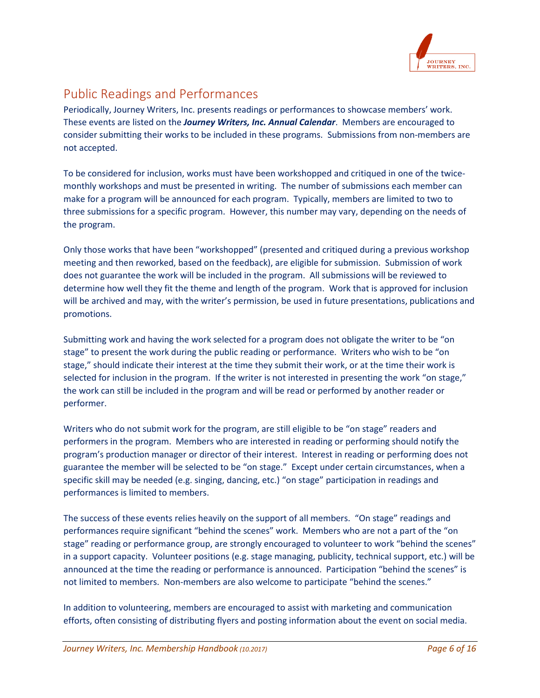

# <span id="page-6-0"></span>Public Readings and Performances

Periodically, Journey Writers, Inc. presents readings or performances to showcase members' work. These events are listed on the *Journey Writers, Inc. Annual Calendar*. Members are encouraged to consider submitting their works to be included in these programs. Submissions from non-members are not accepted.

To be considered for inclusion, works must have been workshopped and critiqued in one of the twicemonthly workshops and must be presented in writing. The number of submissions each member can make for a program will be announced for each program. Typically, members are limited to two to three submissions for a specific program. However, this number may vary, depending on the needs of the program.

Only those works that have been "workshopped" (presented and critiqued during a previous workshop meeting and then reworked, based on the feedback), are eligible for submission. Submission of work does not guarantee the work will be included in the program. All submissions will be reviewed to determine how well they fit the theme and length of the program. Work that is approved for inclusion will be archived and may, with the writer's permission, be used in future presentations, publications and promotions.

Submitting work and having the work selected for a program does not obligate the writer to be "on stage" to present the work during the public reading or performance. Writers who wish to be "on stage," should indicate their interest at the time they submit their work, or at the time their work is selected for inclusion in the program. If the writer is not interested in presenting the work "on stage," the work can still be included in the program and will be read or performed by another reader or performer.

Writers who do not submit work for the program, are still eligible to be "on stage" readers and performers in the program. Members who are interested in reading or performing should notify the program's production manager or director of their interest. Interest in reading or performing does not guarantee the member will be selected to be "on stage." Except under certain circumstances, when a specific skill may be needed (e.g. singing, dancing, etc.) "on stage" participation in readings and performances is limited to members.

The success of these events relies heavily on the support of all members. "On stage" readings and performances require significant "behind the scenes" work. Members who are not a part of the "on stage" reading or performance group, are strongly encouraged to volunteer to work "behind the scenes" in a support capacity. Volunteer positions (e.g. stage managing, publicity, technical support, etc.) will be announced at the time the reading or performance is announced. Participation "behind the scenes" is not limited to members. Non-members are also welcome to participate "behind the scenes."

In addition to volunteering, members are encouraged to assist with marketing and communication efforts, often consisting of distributing flyers and posting information about the event on social media.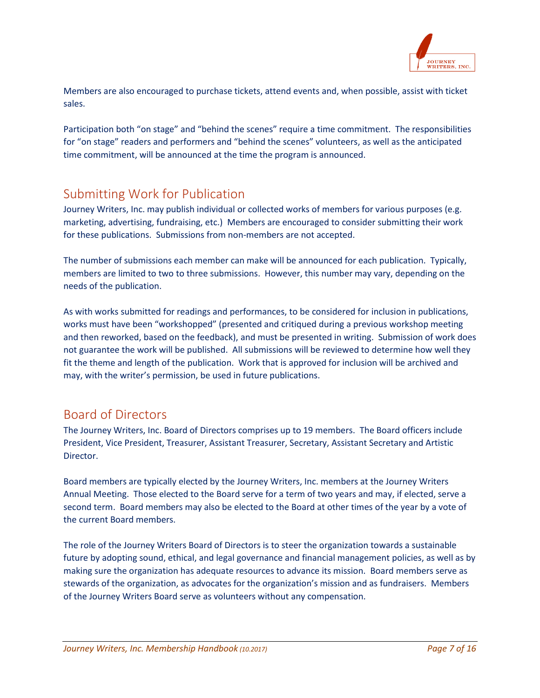

Members are also encouraged to purchase tickets, attend events and, when possible, assist with ticket sales.

Participation both "on stage" and "behind the scenes" require a time commitment. The responsibilities for "on stage" readers and performers and "behind the scenes" volunteers, as well as the anticipated time commitment, will be announced at the time the program is announced.

# <span id="page-7-0"></span>Submitting Work for Publication

Journey Writers, Inc. may publish individual or collected works of members for various purposes (e.g. marketing, advertising, fundraising, etc.) Members are encouraged to consider submitting their work for these publications. Submissions from non-members are not accepted.

The number of submissions each member can make will be announced for each publication. Typically, members are limited to two to three submissions. However, this number may vary, depending on the needs of the publication.

As with works submitted for readings and performances, to be considered for inclusion in publications, works must have been "workshopped" (presented and critiqued during a previous workshop meeting and then reworked, based on the feedback), and must be presented in writing. Submission of work does not guarantee the work will be published. All submissions will be reviewed to determine how well they fit the theme and length of the publication. Work that is approved for inclusion will be archived and may, with the writer's permission, be used in future publications.

## <span id="page-7-1"></span>Board of Directors

The Journey Writers, Inc. Board of Directors comprises up to 19 members. The Board officers include President, Vice President, Treasurer, Assistant Treasurer, Secretary, Assistant Secretary and Artistic Director.

Board members are typically elected by the Journey Writers, Inc. members at the Journey Writers Annual Meeting. Those elected to the Board serve for a term of two years and may, if elected, serve a second term. Board members may also be elected to the Board at other times of the year by a vote of the current Board members.

The role of the Journey Writers Board of Directors is to steer the organization towards a sustainable future by adopting sound, ethical, and legal governance and financial management policies, as well as by making sure the organization has adequate resources to advance its mission. Board members serve as stewards of the organization, as advocates for the organization's mission and as fundraisers. Members of the Journey Writers Board serve as volunteers without any compensation.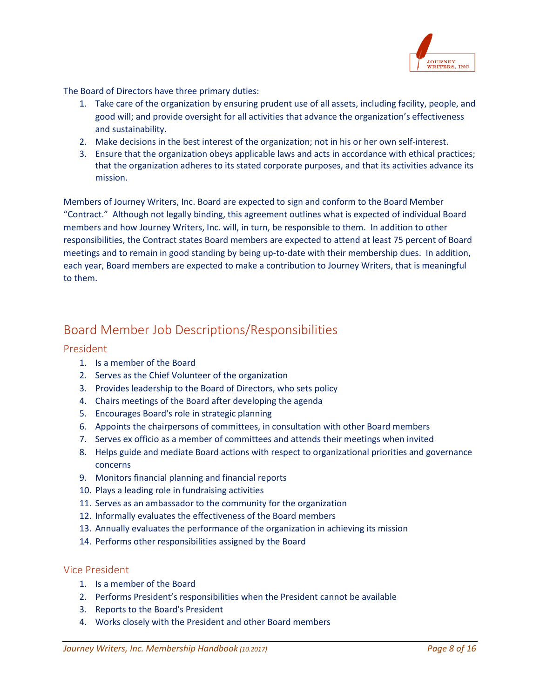

The Board of Directors have three primary duties:

- 1. Take care of the organization by ensuring prudent use of all assets, including facility, people, and good will; and provide oversight for all activities that advance the organization's effectiveness and sustainability.
- 2. Make decisions in the best interest of the organization; not in his or her own self-interest.
- 3. Ensure that the organization obeys applicable laws and acts in accordance with ethical practices; that the organization adheres to its stated corporate purposes, and that its activities advance its mission.

Members of Journey Writers, Inc. Board are expected to sign and conform to the Board Member "Contract." Although not legally binding, this agreement outlines what is expected of individual Board members and how Journey Writers, Inc. will, in turn, be responsible to them. In addition to other responsibilities, the Contract states Board members are expected to attend at least 75 percent of Board meetings and to remain in good standing by being up-to-date with their membership dues. In addition, each year, Board members are expected to make a contribution to Journey Writers, that is meaningful to them.

# <span id="page-8-0"></span>Board Member Job Descriptions/Responsibilities

#### <span id="page-8-1"></span>President

- 1. Is a member of the Board
- 2. Serves as the Chief Volunteer of the organization
- 3. Provides leadership to the Board of Directors, who sets policy
- 4. Chairs meetings of the Board after developing the agenda
- 5. Encourages Board's role in strategic planning
- 6. Appoints the chairpersons of committees, in consultation with other Board members
- 7. Serves ex officio as a member of committees and attends their meetings when invited
- 8. Helps guide and mediate Board actions with respect to organizational priorities and governance concerns
- 9. Monitors financial planning and financial reports
- 10. Plays a leading role in fundraising activities
- 11. Serves as an ambassador to the community for the organization
- 12. Informally evaluates the effectiveness of the Board members
- 13. Annually evaluates the performance of the organization in achieving its mission
- 14. Performs other responsibilities assigned by the Board

#### <span id="page-8-2"></span>Vice President

- 1. Is a member of the Board
- 2. Performs President's responsibilities when the President cannot be available
- 3. Reports to the Board's President
- 4. Works closely with the President and other Board members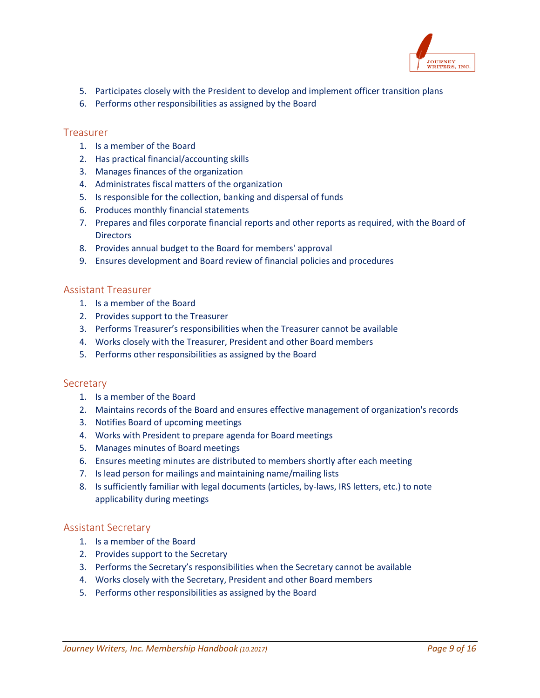

- 5. Participates closely with the President to develop and implement officer transition plans
- 6. Performs other responsibilities as assigned by the Board

#### <span id="page-9-0"></span>Treasurer

- 1. Is a member of the Board
- 2. Has practical financial/accounting skills
- 3. Manages finances of the organization
- 4. Administrates fiscal matters of the organization
- 5. Is responsible for the collection, banking and dispersal of funds
- 6. Produces monthly financial statements
- 7. Prepares and files corporate financial reports and other reports as required, with the Board of **Directors**
- 8. Provides annual budget to the Board for members' approval
- 9. Ensures development and Board review of financial policies and procedures

#### <span id="page-9-1"></span>Assistant Treasurer

- 1. Is a member of the Board
- 2. Provides support to the Treasurer
- 3. Performs Treasurer's responsibilities when the Treasurer cannot be available
- 4. Works closely with the Treasurer, President and other Board members
- 5. Performs other responsibilities as assigned by the Board

#### <span id="page-9-2"></span>**Secretary**

- 1. Is a member of the Board
- 2. Maintains records of the Board and ensures effective management of organization's records
- 3. Notifies Board of upcoming meetings
- 4. Works with President to prepare agenda for Board meetings
- 5. Manages minutes of Board meetings
- 6. Ensures meeting minutes are distributed to members shortly after each meeting
- 7. Is lead person for mailings and maintaining name/mailing lists
- 8. Is sufficiently familiar with legal documents (articles, by-laws, IRS letters, etc.) to note applicability during meetings

#### <span id="page-9-3"></span>Assistant Secretary

- 1. Is a member of the Board
- 2. Provides support to the Secretary
- 3. Performs the Secretary's responsibilities when the Secretary cannot be available
- 4. Works closely with the Secretary, President and other Board members
- 5. Performs other responsibilities as assigned by the Board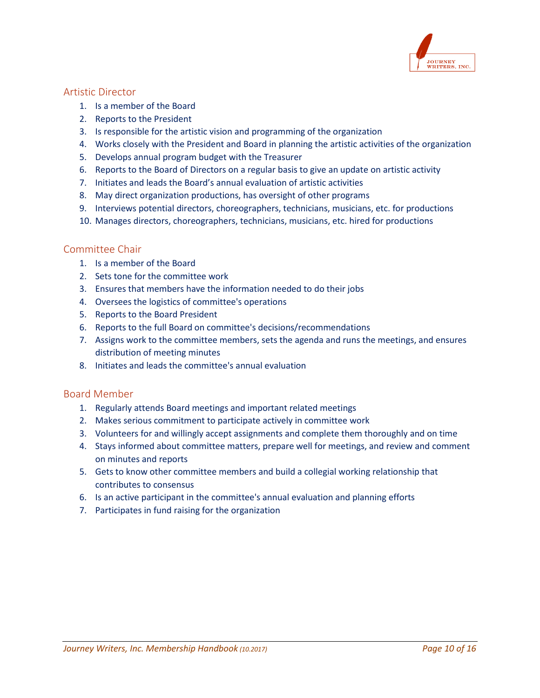

#### <span id="page-10-0"></span>Artistic Director

- 1. Is a member of the Board
- 2. Reports to the President
- 3. Is responsible for the artistic vision and programming of the organization
- 4. Works closely with the President and Board in planning the artistic activities of the organization
- 5. Develops annual program budget with the Treasurer
- 6. Reports to the Board of Directors on a regular basis to give an update on artistic activity
- 7. Initiates and leads the Board's annual evaluation of artistic activities
- 8. May direct organization productions, has oversight of other programs
- 9. Interviews potential directors, choreographers, technicians, musicians, etc. for productions
- 10. Manages directors, choreographers, technicians, musicians, etc. hired for productions

#### <span id="page-10-1"></span>Committee Chair

- 1. Is a member of the Board
- 2. Sets tone for the committee work
- 3. Ensures that members have the information needed to do their jobs
- 4. Oversees the logistics of committee's operations
- 5. Reports to the Board President
- 6. Reports to the full Board on committee's decisions/recommendations
- 7. Assigns work to the committee members, sets the agenda and runs the meetings, and ensures distribution of meeting minutes
- 8. Initiates and leads the committee's annual evaluation

#### <span id="page-10-2"></span>Board Member

- 1. Regularly attends Board meetings and important related meetings
- 2. Makes serious commitment to participate actively in committee work
- 3. Volunteers for and willingly accept assignments and complete them thoroughly and on time
- 4. Stays informed about committee matters, prepare well for meetings, and review and comment on minutes and reports
- 5. Gets to know other committee members and build a collegial working relationship that contributes to consensus
- 6. Is an active participant in the committee's annual evaluation and planning efforts
- 7. Participates in fund raising for the organization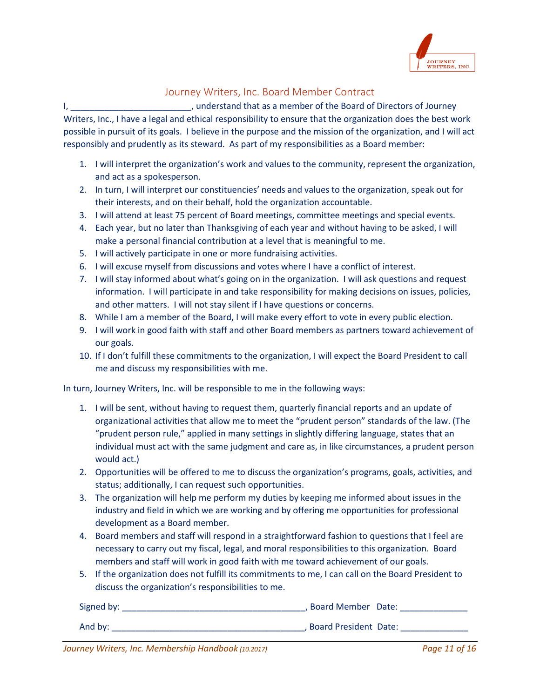

## Journey Writers, Inc. Board Member Contract

<span id="page-11-0"></span>I, \_\_\_\_\_\_\_\_\_\_\_\_\_\_\_\_\_\_\_\_\_\_\_\_\_, understand that as a member of the Board of Directors of Journey Writers, Inc., I have a legal and ethical responsibility to ensure that the organization does the best work possible in pursuit of its goals. I believe in the purpose and the mission of the organization, and I will act responsibly and prudently as its steward. As part of my responsibilities as a Board member:

- 1. I will interpret the organization's work and values to the community, represent the organization, and act as a spokesperson.
- 2. In turn, I will interpret our constituencies' needs and values to the organization, speak out for their interests, and on their behalf, hold the organization accountable.
- 3. I will attend at least 75 percent of Board meetings, committee meetings and special events.
- 4. Each year, but no later than Thanksgiving of each year and without having to be asked, I will make a personal financial contribution at a level that is meaningful to me.
- 5. I will actively participate in one or more fundraising activities.
- 6. I will excuse myself from discussions and votes where I have a conflict of interest.
- 7. I will stay informed about what's going on in the organization. I will ask questions and request information. I will participate in and take responsibility for making decisions on issues, policies, and other matters. I will not stay silent if I have questions or concerns.
- 8. While I am a member of the Board, I will make every effort to vote in every public election.
- 9. I will work in good faith with staff and other Board members as partners toward achievement of our goals.
- 10. If I don't fulfill these commitments to the organization, I will expect the Board President to call me and discuss my responsibilities with me.

In turn, Journey Writers, Inc. will be responsible to me in the following ways:

- 1. I will be sent, without having to request them, quarterly financial reports and an update of organizational activities that allow me to meet the "prudent person" standards of the law. (The "prudent person rule," applied in many settings in slightly differing language, states that an individual must act with the same judgment and care as, in like circumstances, a prudent person would act.)
- 2. Opportunities will be offered to me to discuss the organization's programs, goals, activities, and status; additionally, I can request such opportunities.
- 3. The organization will help me perform my duties by keeping me informed about issues in the industry and field in which we are working and by offering me opportunities for professional development as a Board member.
- 4. Board members and staff will respond in a straightforward fashion to questions that I feel are necessary to carry out my fiscal, legal, and moral responsibilities to this organization. Board members and staff will work in good faith with me toward achievement of our goals.
- 5. If the organization does not fulfill its commitments to me, I can call on the Board President to discuss the organization's responsibilities to me.

| Signed by: | Board Member Date:      |
|------------|-------------------------|
| And by:    | . Board President Date: |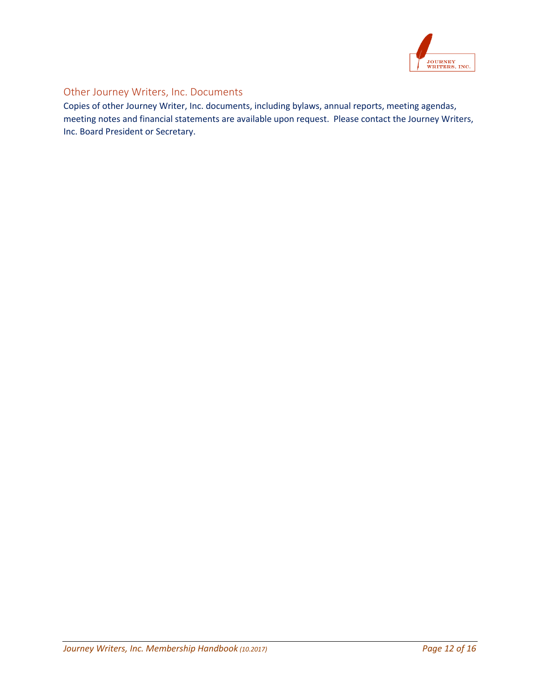

## <span id="page-12-0"></span>Other Journey Writers, Inc. Documents

Copies of other Journey Writer, Inc. documents, including bylaws, annual reports, meeting agendas, meeting notes and financial statements are available upon request. Please contact the Journey Writers, Inc. Board President or Secretary.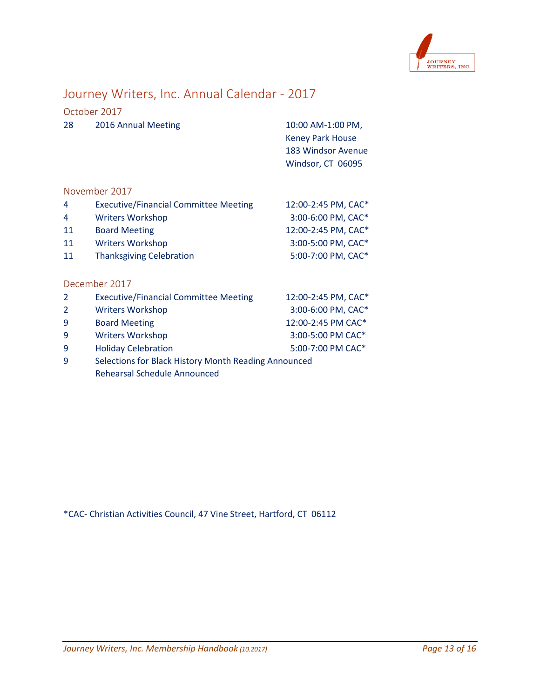

# <span id="page-13-0"></span>Journey Writers, Inc. Annual Calendar - 2017

<span id="page-13-1"></span>

|    | October 2017        |                         |
|----|---------------------|-------------------------|
| 28 | 2016 Annual Meeting | 10:00 AM-1:00 PM,       |
|    |                     | <b>Keney Park House</b> |
|    |                     | 183 Windsor Avenue      |
|    |                     | Windsor, CT 06095       |
|    |                     |                         |

#### <span id="page-13-2"></span>November 2017

| <b>Executive/Financial Committee Meeting</b> | 12:00-2:45 PM, CAC* |
|----------------------------------------------|---------------------|
| <b>Writers Workshop</b>                      | 3:00-6:00 PM, CAC*  |
| <b>Board Meeting</b>                         | 12:00-2:45 PM, CAC* |
| <b>Writers Workshop</b>                      | 3:00-5:00 PM, CAC*  |
| <b>Thanksgiving Celebration</b>              | 5:00-7:00 PM, CAC*  |
|                                              |                     |
|                                              |                     |

#### <span id="page-13-3"></span>December 2017

| $\overline{2}$ | <b>Executive/Financial Committee Meeting</b>         | 12:00-2:45 PM, CAC* |
|----------------|------------------------------------------------------|---------------------|
| $\overline{2}$ | <b>Writers Workshop</b>                              | 3:00-6:00 PM, CAC*  |
| -9             | <b>Board Meeting</b>                                 | 12:00-2:45 PM CAC*  |
| -9             | <b>Writers Workshop</b>                              | 3:00-5:00 PM CAC*   |
| -9             | <b>Holiday Celebration</b>                           | 5:00-7:00 PM CAC*   |
| q              | Selections for Black History Month Reading Announced |                     |

Rehearsal Schedule Announced

\*CAC- Christian Activities Council, 47 Vine Street, Hartford, CT 06112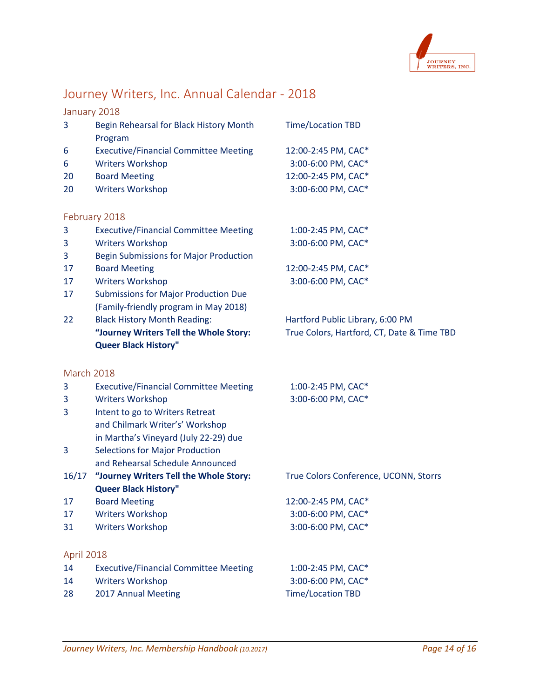

# <span id="page-14-0"></span>Journey Writers, Inc. Annual Calendar - 2018

## <span id="page-14-1"></span>January 2018

<span id="page-14-2"></span>

| 3  | Begin Rehearsal for Black History Month<br>Program | <b>Time/Location TBD</b> |
|----|----------------------------------------------------|--------------------------|
| 6  | <b>Executive/Financial Committee Meeting</b>       | 12:00-2:45 PM, CAC*      |
| 6  | <b>Writers Workshop</b>                            | 3:00-6:00 PM, CAC*       |
| 20 | <b>Board Meeting</b>                               | 12:00-2:45 PM, CAC*      |
| 20 | <b>Writers Workshop</b>                            | 3:00-6:00 PM, CAC*       |
|    |                                                    |                          |
|    | February 2018                                      |                          |
| 3  | <b>Executive/Financial Committee Meeting</b>       | 1:00-2:45 PM, CAC*       |
| 3  | <b>Writers Workshop</b>                            | 3:00-6:00 PM, CAC*       |
| 3  | <b>Begin Submissions for Major Production</b>      |                          |
| 17 | <b>Board Meeting</b>                               | 12:00-2:45 PM, CAC*      |
| 17 | <b>Writers Workshop</b>                            | 3:00-6:00 PM, CAC*       |
| 17 | <b>Submissions for Major Production Due</b>        |                          |
|    | (Family-friendly program in May 2018)              |                          |
|    |                                                    |                          |

## 22 Black History Month Reading: Hartford Public Library, 6:00 PM **"Journey Writers Tell the Whole Story:** True Colors, Hartford, CT, Date & Time TBD **Queer Black History"**

#### <span id="page-14-3"></span>March 2018

<span id="page-14-4"></span>

| 3          | <b>Executive/Financial Committee Meeting</b> | 1:00-2:45 PM, CAC*                    |
|------------|----------------------------------------------|---------------------------------------|
| 3          | <b>Writers Workshop</b>                      | 3:00-6:00 PM, CAC*                    |
| 3          | Intent to go to Writers Retreat              |                                       |
|            | and Chilmark Writer's' Workshop              |                                       |
|            | in Martha's Vineyard (July 22-29) due        |                                       |
| 3          | <b>Selections for Major Production</b>       |                                       |
|            | and Rehearsal Schedule Announced             |                                       |
| 16/17      | "Journey Writers Tell the Whole Story:       | True Colors Conference, UCONN, Storrs |
|            | <b>Queer Black History"</b>                  |                                       |
| 17         | <b>Board Meeting</b>                         | 12:00-2:45 PM, CAC*                   |
| 17         | <b>Writers Workshop</b>                      | 3:00-6:00 PM, CAC*                    |
| 31         | <b>Writers Workshop</b>                      | 3:00-6:00 PM, CAC*                    |
| April 2018 |                                              |                                       |
| 14         | <b>Executive/Financial Committee Meeting</b> | 1:00-2:45 PM, CAC*                    |
| 14         | Writers Workshop                             | 3:00-6:00 PM, CAC*                    |
| 28         | 2017 Annual Meeting                          | <b>Time/Location TBD</b>              |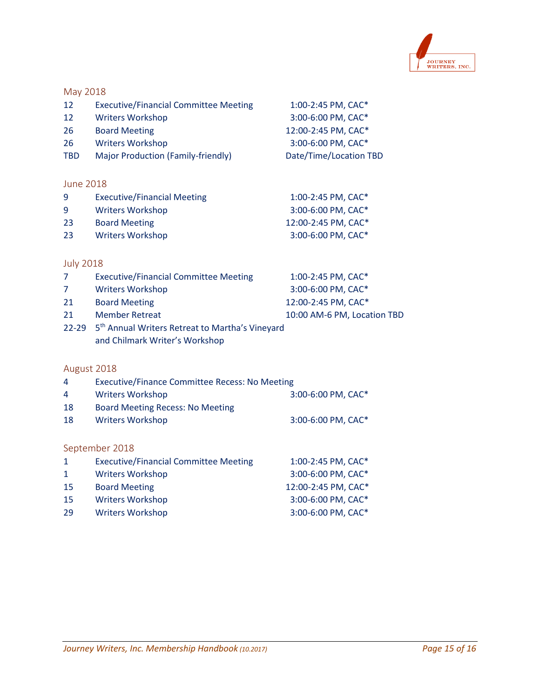

#### <span id="page-15-0"></span>May 2018

| 12 | <b>Executive/Financial Committee Meeting</b> | 1:00-2:45 PM, CAC* |
|----|----------------------------------------------|--------------------|
|----|----------------------------------------------|--------------------|

| -12 | <b>Writers Workshop</b> | 3:00-6:00 PM, CAC*  |
|-----|-------------------------|---------------------|
| -26 | <b>Board Meeting</b>    | 12:00-2:45 PM, CAC* |

- 
- Writers Workshop 3:00-6:00 PM, CAC\*
- TBD Major Production (Family-friendly) Date/Time/Location TBD

## <span id="page-15-1"></span>June 2018

| -9 | <b>Executive/Financial Meeting</b> | 1:00-2:45 PM, CAC*  |
|----|------------------------------------|---------------------|
| 9  | <b>Writers Workshop</b>            | 3:00-6:00 PM, CAC*  |
| 23 | <b>Board Meeting</b>               | 12:00-2:45 PM, CAC* |
| 23 | <b>Writers Workshop</b>            | 3:00-6:00 PM, CAC*  |

## <span id="page-15-2"></span>July 2018

| $\mathcal{L}$  | <b>Executive/Financial Committee Meeting</b>                      | 1:00-2:45 PM, CAC*          |
|----------------|-------------------------------------------------------------------|-----------------------------|
| $\overline{7}$ | <b>Writers Workshop</b>                                           | 3:00-6:00 PM, CAC*          |
| 21             | <b>Board Meeting</b>                                              | 12:00-2:45 PM, CAC*         |
| 21             | <b>Member Retreat</b>                                             | 10:00 AM-6 PM, Location TBD |
|                | 22-29 5 <sup>th</sup> Annual Writers Retreat to Martha's Vineyard |                             |

and Chilmark Writer's Workshop

## <span id="page-15-3"></span>August 2018

<span id="page-15-4"></span>

| $\overline{4}$ | <b>Executive/Finance Committee Recess: No Meeting</b> |                     |  |
|----------------|-------------------------------------------------------|---------------------|--|
| $\overline{4}$ | <b>Writers Workshop</b>                               | 3:00-6:00 PM, CAC*  |  |
| 18             | <b>Board Meeting Recess: No Meeting</b>               |                     |  |
| 18             | <b>Writers Workshop</b>                               | 3:00-6:00 PM, CAC*  |  |
|                |                                                       |                     |  |
| September 2018 |                                                       |                     |  |
| $\mathbf{1}$   | <b>Executive/Financial Committee Meeting</b>          | 1:00-2:45 PM, CAC*  |  |
| $\mathbf{1}$   | <b>Writers Workshop</b>                               | 3:00-6:00 PM, CAC*  |  |
| 15             | <b>Board Meeting</b>                                  | 12:00-2:45 PM, CAC* |  |
| 15             | <b>Writers Workshop</b>                               | 3:00-6:00 PM, CAC*  |  |
| 29             | <b>Writers Workshop</b>                               | 3:00-6:00 PM, CAC*  |  |